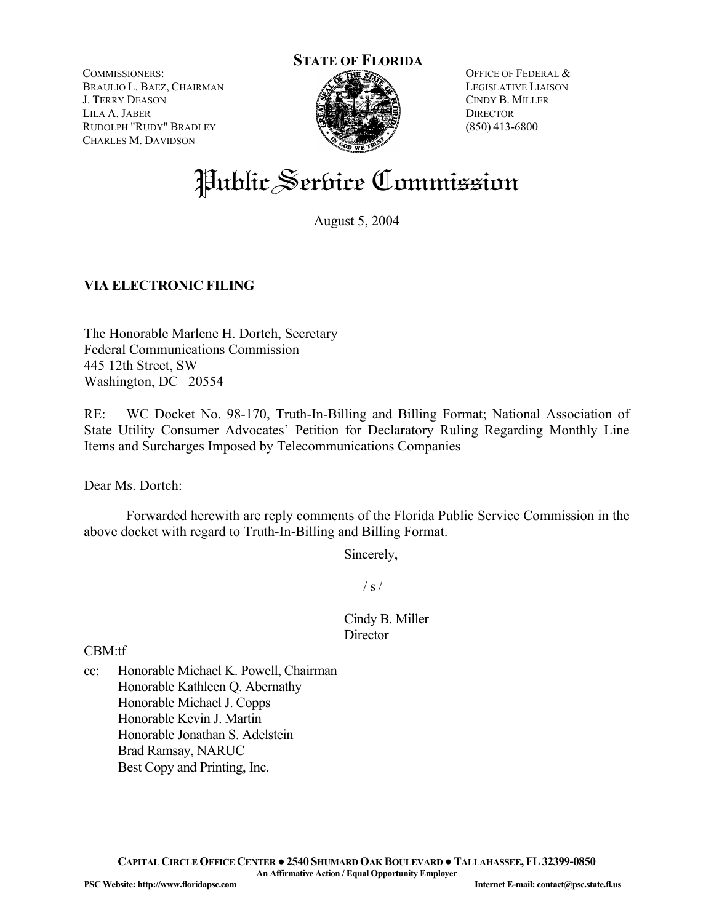COMMISSIONERS: BRAULIO L. BAEZ, CHAIRMAN J. TERRY DEASON LILA A. JABER RUDOLPH "RUDY" BRADLEY CHARLES M. DAVIDSON



OFFICE OF FEDERAL & LEGISLATIVE LIAISON CINDY B. MILLER **DIRECTOR** (850) 413-6800

# Public Service Commission

August 5, 2004

## **VIA ELECTRONIC FILING**

The Honorable Marlene H. Dortch, Secretary Federal Communications Commission 445 12th Street, SW Washington, DC 20554

RE: WC Docket No. 98-170, Truth-In-Billing and Billing Format; National Association of State Utility Consumer Advocates' Petition for Declaratory Ruling Regarding Monthly Line Items and Surcharges Imposed by Telecommunications Companies

Dear Ms. Dortch:

 Forwarded herewith are reply comments of the Florida Public Service Commission in the above docket with regard to Truth-In-Billing and Billing Format.

Sincerely,

 $/ s /$ 

Cindy B. Miller **Director** 

CBM:tf

cc: Honorable Michael K. Powell, Chairman Honorable Kathleen Q. Abernathy Honorable Michael J. Copps Honorable Kevin J. Martin Honorable Jonathan S. Adelstein Brad Ramsay, NARUC Best Copy and Printing, Inc.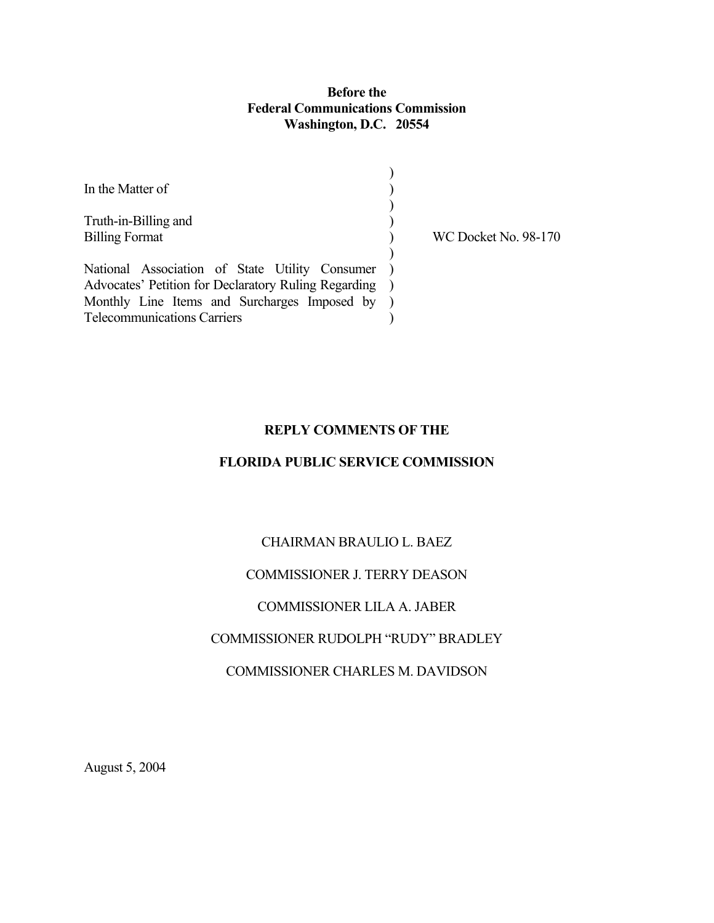## **Before the Federal Communications Commission Washington, D.C. 20554**

| In the Matter of                                                                                       |  |
|--------------------------------------------------------------------------------------------------------|--|
| Truth-in-Billing and<br><b>Billing Format</b>                                                          |  |
| National Association of State Utility Consumer<br>Advocates' Petition for Declaratory Ruling Regarding |  |
| Monthly Line Items and Surcharges Imposed by<br><b>Telecommunications Carriers</b>                     |  |

WC Docket No. 98-170

#### **REPLY COMMENTS OF THE**

## **FLORIDA PUBLIC SERVICE COMMISSION**

## CHAIRMAN BRAULIO L. BAEZ

## COMMISSIONER J. TERRY DEASON

## COMMISSIONER LILA A. JABER

#### COMMISSIONER RUDOLPH "RUDY" BRADLEY

## COMMISSIONER CHARLES M. DAVIDSON

August 5, 2004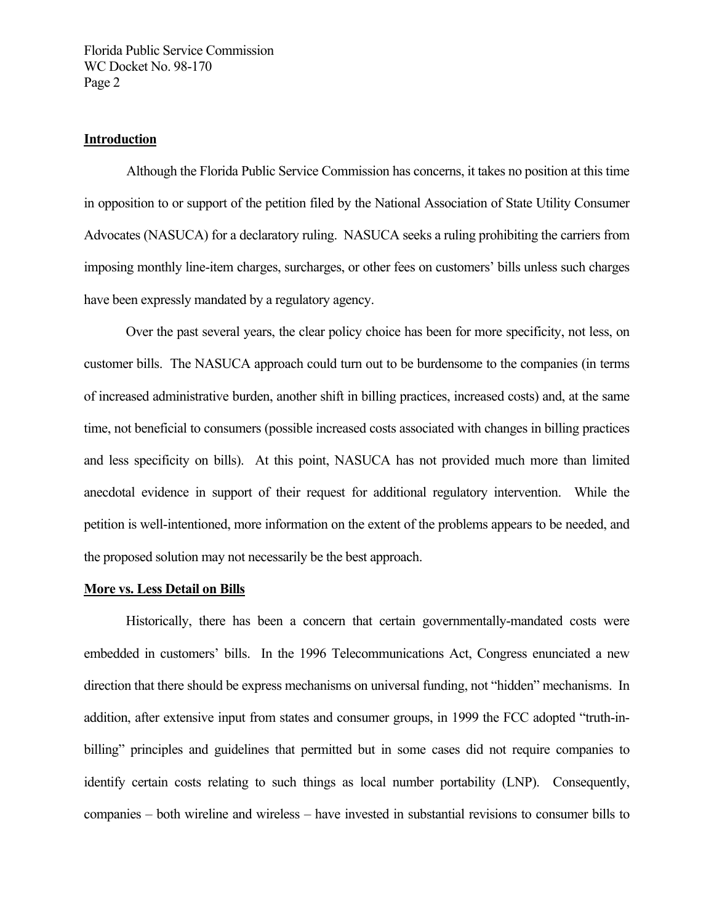#### **Introduction**

 Although the Florida Public Service Commission has concerns, it takes no position at this time in opposition to or support of the petition filed by the National Association of State Utility Consumer Advocates (NASUCA) for a declaratory ruling. NASUCA seeks a ruling prohibiting the carriers from imposing monthly line-item charges, surcharges, or other fees on customers' bills unless such charges have been expressly mandated by a regulatory agency.

Over the past several years, the clear policy choice has been for more specificity, not less, on customer bills. The NASUCA approach could turn out to be burdensome to the companies (in terms of increased administrative burden, another shift in billing practices, increased costs) and, at the same time, not beneficial to consumers (possible increased costs associated with changes in billing practices and less specificity on bills). At this point, NASUCA has not provided much more than limited anecdotal evidence in support of their request for additional regulatory intervention. While the petition is well-intentioned, more information on the extent of the problems appears to be needed, and the proposed solution may not necessarily be the best approach.

#### **More vs. Less Detail on Bills**

Historically, there has been a concern that certain governmentally-mandated costs were embedded in customers' bills. In the 1996 Telecommunications Act, Congress enunciated a new direction that there should be express mechanisms on universal funding, not "hidden" mechanisms. In addition, after extensive input from states and consumer groups, in 1999 the FCC adopted "truth-inbilling" principles and guidelines that permitted but in some cases did not require companies to identify certain costs relating to such things as local number portability (LNP). Consequently, companies – both wireline and wireless – have invested in substantial revisions to consumer bills to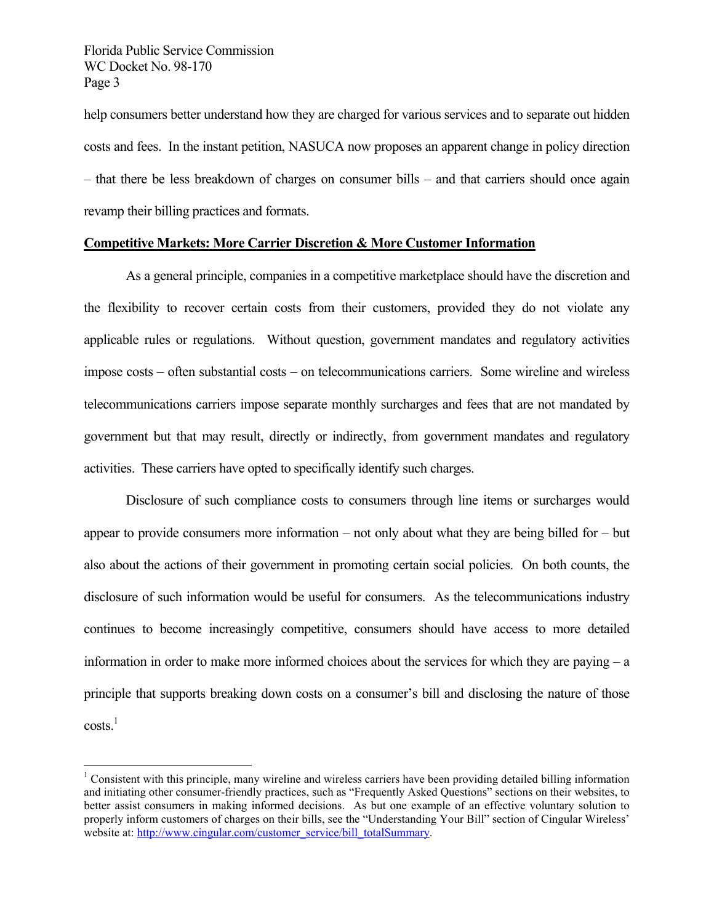$\overline{a}$ 

help consumers better understand how they are charged for various services and to separate out hidden costs and fees. In the instant petition, NASUCA now proposes an apparent change in policy direction – that there be less breakdown of charges on consumer bills – and that carriers should once again revamp their billing practices and formats.

## **Competitive Markets: More Carrier Discretion & More Customer Information**

As a general principle, companies in a competitive marketplace should have the discretion and the flexibility to recover certain costs from their customers, provided they do not violate any applicable rules or regulations. Without question, government mandates and regulatory activities impose costs – often substantial costs – on telecommunications carriers. Some wireline and wireless telecommunications carriers impose separate monthly surcharges and fees that are not mandated by government but that may result, directly or indirectly, from government mandates and regulatory activities. These carriers have opted to specifically identify such charges.

Disclosure of such compliance costs to consumers through line items or surcharges would appear to provide consumers more information – not only about what they are being billed for – but also about the actions of their government in promoting certain social policies. On both counts, the disclosure of such information would be useful for consumers. As the telecommunications industry continues to become increasingly competitive, consumers should have access to more detailed information in order to make more informed choices about the services for which they are paying – a principle that supports breaking down costs on a consumer's bill and disclosing the nature of those  $costs<sup>1</sup>$ 

 $1$  Consistent with this principle, many wireline and wireless carriers have been providing detailed billing information and initiating other consumer-friendly practices, such as "Frequently Asked Questions" sections on their websites, to better assist consumers in making informed decisions. As but one example of an effective voluntary solution to properly inform customers of charges on their bills, see the "Understanding Your Bill" section of Cingular Wireless' website at: http://www.cingular.com/customer\_service/bill\_totalSummary.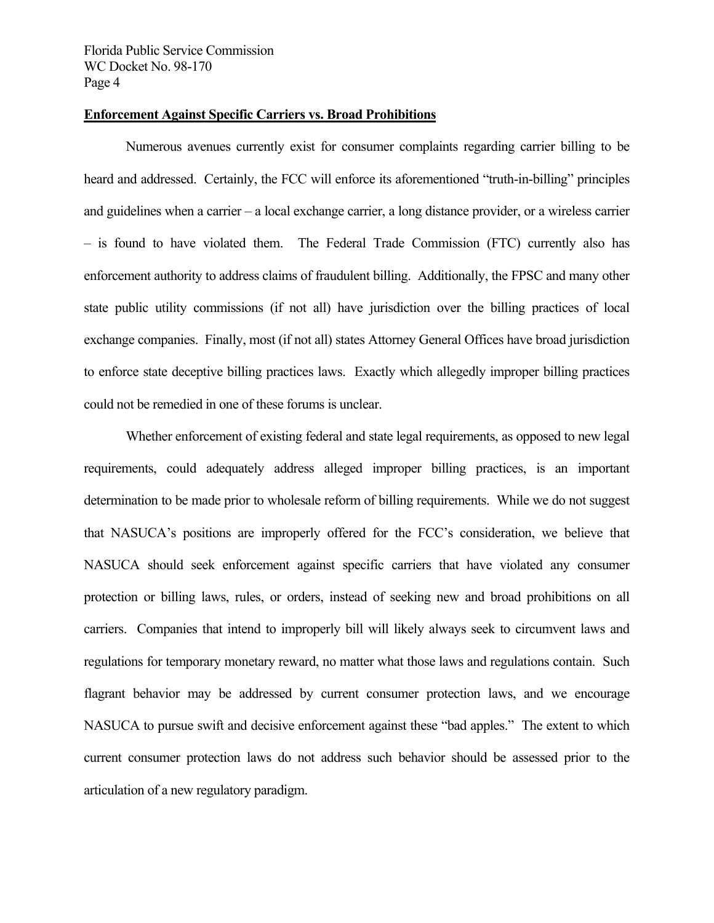#### **Enforcement Against Specific Carriers vs. Broad Prohibitions**

Numerous avenues currently exist for consumer complaints regarding carrier billing to be heard and addressed. Certainly, the FCC will enforce its aforementioned "truth-in-billing" principles and guidelines when a carrier – a local exchange carrier, a long distance provider, or a wireless carrier – is found to have violated them. The Federal Trade Commission (FTC) currently also has enforcement authority to address claims of fraudulent billing. Additionally, the FPSC and many other state public utility commissions (if not all) have jurisdiction over the billing practices of local exchange companies. Finally, most (if not all) states Attorney General Offices have broad jurisdiction to enforce state deceptive billing practices laws. Exactly which allegedly improper billing practices could not be remedied in one of these forums is unclear.

Whether enforcement of existing federal and state legal requirements, as opposed to new legal requirements, could adequately address alleged improper billing practices, is an important determination to be made prior to wholesale reform of billing requirements. While we do not suggest that NASUCA's positions are improperly offered for the FCC's consideration, we believe that NASUCA should seek enforcement against specific carriers that have violated any consumer protection or billing laws, rules, or orders, instead of seeking new and broad prohibitions on all carriers. Companies that intend to improperly bill will likely always seek to circumvent laws and regulations for temporary monetary reward, no matter what those laws and regulations contain. Such flagrant behavior may be addressed by current consumer protection laws, and we encourage NASUCA to pursue swift and decisive enforcement against these "bad apples." The extent to which current consumer protection laws do not address such behavior should be assessed prior to the articulation of a new regulatory paradigm.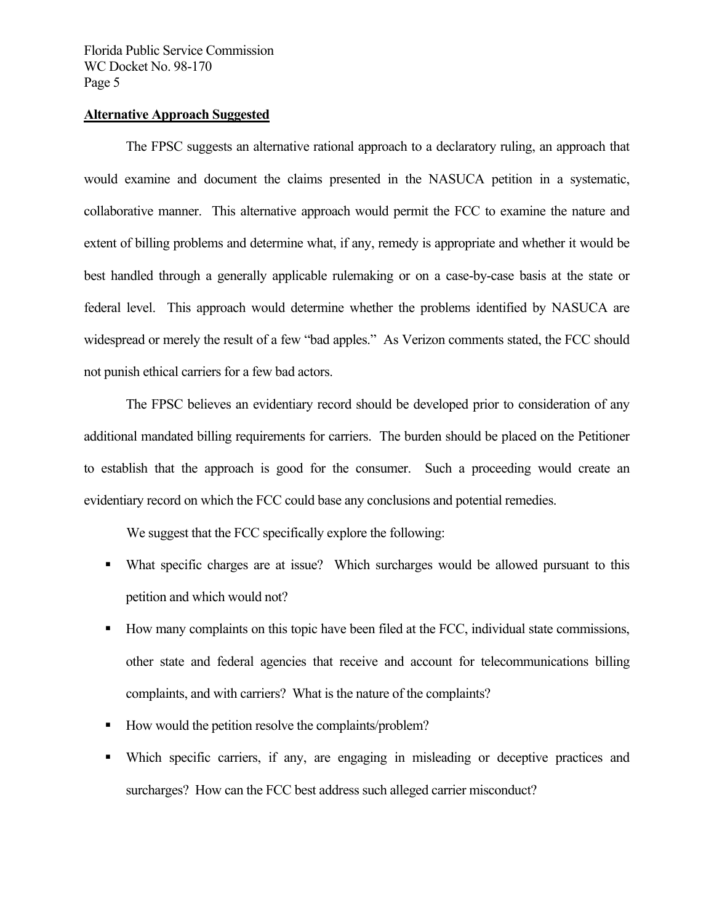#### **Alternative Approach Suggested**

The FPSC suggests an alternative rational approach to a declaratory ruling, an approach that would examine and document the claims presented in the NASUCA petition in a systematic, collaborative manner. This alternative approach would permit the FCC to examine the nature and extent of billing problems and determine what, if any, remedy is appropriate and whether it would be best handled through a generally applicable rulemaking or on a case-by-case basis at the state or federal level. This approach would determine whether the problems identified by NASUCA are widespread or merely the result of a few "bad apples." As Verizon comments stated, the FCC should not punish ethical carriers for a few bad actors.

The FPSC believes an evidentiary record should be developed prior to consideration of any additional mandated billing requirements for carriers. The burden should be placed on the Petitioner to establish that the approach is good for the consumer. Such a proceeding would create an evidentiary record on which the FCC could base any conclusions and potential remedies.

We suggest that the FCC specifically explore the following:

- What specific charges are at issue? Which surcharges would be allowed pursuant to this petition and which would not?
- How many complaints on this topic have been filed at the FCC, individual state commissions, other state and federal agencies that receive and account for telecommunications billing complaints, and with carriers? What is the nature of the complaints?
- How would the petition resolve the complaints/problem?
- Which specific carriers, if any, are engaging in misleading or deceptive practices and surcharges? How can the FCC best address such alleged carrier misconduct?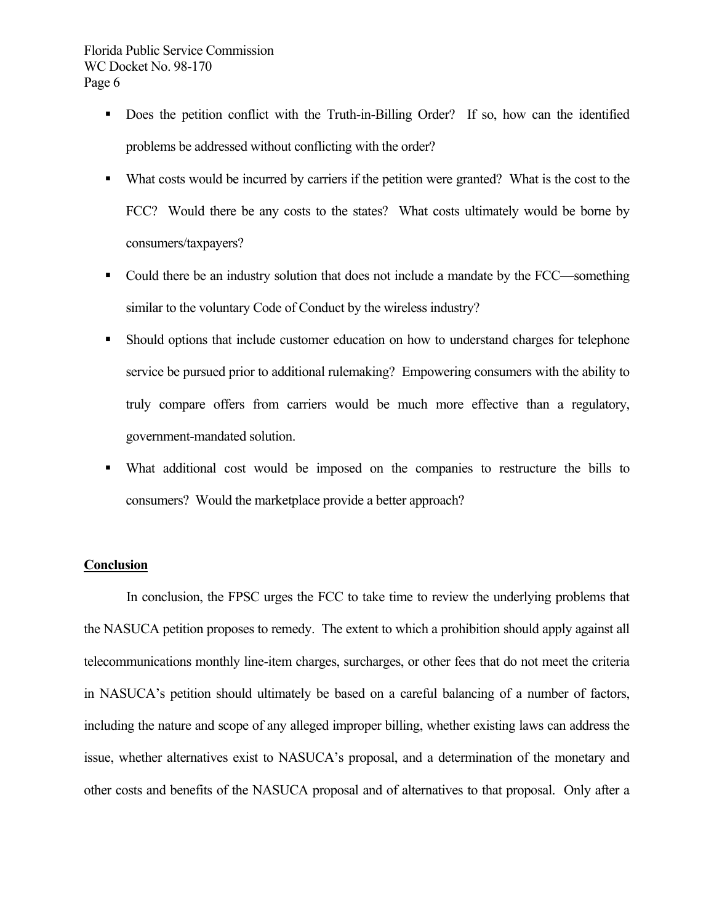- Does the petition conflict with the Truth-in-Billing Order? If so, how can the identified problems be addressed without conflicting with the order?
- What costs would be incurred by carriers if the petition were granted? What is the cost to the FCC? Would there be any costs to the states? What costs ultimately would be borne by consumers/taxpayers?
- Could there be an industry solution that does not include a mandate by the FCC—something similar to the voluntary Code of Conduct by the wireless industry?
- Should options that include customer education on how to understand charges for telephone service be pursued prior to additional rulemaking? Empowering consumers with the ability to truly compare offers from carriers would be much more effective than a regulatory, government-mandated solution.
- What additional cost would be imposed on the companies to restructure the bills to consumers? Would the marketplace provide a better approach?

## **Conclusion**

 In conclusion, the FPSC urges the FCC to take time to review the underlying problems that the NASUCA petition proposes to remedy. The extent to which a prohibition should apply against all telecommunications monthly line-item charges, surcharges, or other fees that do not meet the criteria in NASUCA's petition should ultimately be based on a careful balancing of a number of factors, including the nature and scope of any alleged improper billing, whether existing laws can address the issue, whether alternatives exist to NASUCA's proposal, and a determination of the monetary and other costs and benefits of the NASUCA proposal and of alternatives to that proposal. Only after a